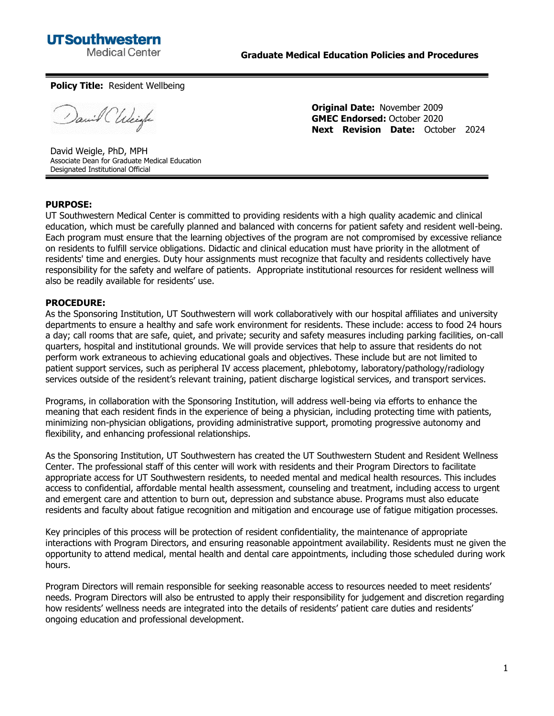

## **Policy Title:** Resident Wellbeing

Daniel Chleigh

**Original Date:** November 2009 **GMEC Endorsed:** October 2020 **Next Revision Date:** October 2024

David Weigle, PhD, MPH Associate Dean for Graduate Medical Education Designated Institutional Official

## **PURPOSE:**

UT Southwestern Medical Center is committed to providing residents with a high quality academic and clinical education, which must be carefully planned and balanced with concerns for patient safety and resident well-being. Each program must ensure that the learning objectives of the program are not compromised by excessive reliance on residents to fulfill service obligations. Didactic and clinical education must have priority in the allotment of residents' time and energies. Duty hour assignments must recognize that faculty and residents collectively have responsibility for the safety and welfare of patients. Appropriate institutional resources for resident wellness will also be readily available for residents' use.

## **PROCEDURE:**

As the Sponsoring Institution, UT Southwestern will work collaboratively with our hospital affiliates and university departments to ensure a healthy and safe work environment for residents. These include: access to food 24 hours a day; call rooms that are safe, quiet, and private; security and safety measures including parking facilities, on-call quarters, hospital and institutional grounds. We will provide services that help to assure that residents do not perform work extraneous to achieving educational goals and objectives. These include but are not limited to patient support services, such as peripheral IV access placement, phlebotomy, laboratory/pathology/radiology services outside of the resident's relevant training, patient discharge logistical services, and transport services.

Programs, in collaboration with the Sponsoring Institution, will address well-being via efforts to enhance the meaning that each resident finds in the experience of being a physician, including protecting time with patients, minimizing non-physician obligations, providing administrative support, promoting progressive autonomy and flexibility, and enhancing professional relationships.

As the Sponsoring Institution, UT Southwestern has created the UT Southwestern Student and Resident Wellness Center. The professional staff of this center will work with residents and their Program Directors to facilitate appropriate access for UT Southwestern residents, to needed mental and medical health resources. This includes access to confidential, affordable mental health assessment, counseling and treatment, including access to urgent and emergent care and attention to burn out, depression and substance abuse. Programs must also educate residents and faculty about fatigue recognition and mitigation and encourage use of fatigue mitigation processes.

Key principles of this process will be protection of resident confidentiality, the maintenance of appropriate interactions with Program Directors, and ensuring reasonable appointment availability. Residents must ne given the opportunity to attend medical, mental health and dental care appointments, including those scheduled during work hours.

Program Directors will remain responsible for seeking reasonable access to resources needed to meet residents' needs. Program Directors will also be entrusted to apply their responsibility for judgement and discretion regarding how residents' wellness needs are integrated into the details of residents' patient care duties and residents' ongoing education and professional development.